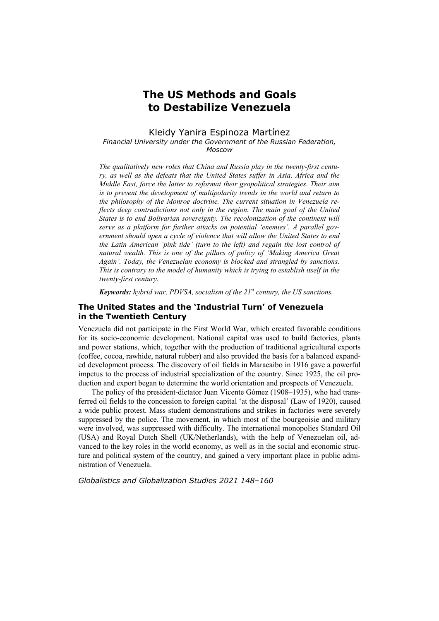# **The US Methods and Goals to Destabilize Venezuela**

# Kleidy Yanira Espinoza Martínez

#### *Financial University under the Government of the Russian Federation, Moscow*

*The qualitatively new roles that China and Russia play in the twenty-first century, as well as the defeats that the United States suffer in Asia, Africa and the Middle East, force the latter to reformat their geopolitical strategies. Their aim is to prevent the development of multipolarity trends in the world and return to the philosophy of the Monroe doctrine. The current situation in Venezuela re*flects deep contradictions not only in the region. The main goal of the United *States is to end Bolivarian sovereignty. The recolonization of the continent will serve as a platform for further attacks on potential 'enemies'. A parallel government should open a cycle of violence that will allow the United States to end the Latin American 'pink tide' (turn to the left) and regain the lost control of natural wealth. This is one of the pillars of policy of 'Making America Great Again'. Today, the Venezuelan economy is blocked and strangled by sanctions. This is contrary to the model of humanity which is trying to establish itself in the twenty-first century.* 

*Keywords: hybrid war, PDVSA, socialism of the 21st century, the US sanctions.* 

# **The United States and the 'Industrial Turn' of Venezuela in the Twentieth Century**

Venezuela did not participate in the First World War, which created favorable conditions for its socio-economic development. National capital was used to build factories, plants and power stations, which, together with the production of traditional agricultural exports (coffee, cocoa, rawhide, natural rubber) and also provided the basis for a balanced expanded development process. The discovery of oil fields in Maracaibo in 1916 gave a powerful impetus to the process of industrial specialization of the country. Since 1925, the oil production and export began to determine the world orientation and prospects of Venezuela.

The policy of the president-dictator Juan Vicente Gómez (1908–1935), who had transferred oil fields to the concession to foreign capital 'at the disposal' (Law of 1920), caused a wide public protest. Mass student demonstrations and strikes in factories were severely suppressed by the police. The movement, in which most of the bourgeoisie and military were involved, was suppressed with difficulty. The international monopolies Standard Oil (USA) and Royal Dutch Shell (UK/Netherlands), with the help of Venezuelan oil, advanced to the key roles in the world economy, as well as in the social and economic structure and political system of the country, and gained a very important place in public administration of Venezuela.

*Globalistics and Globalization Studies 2021 148–160*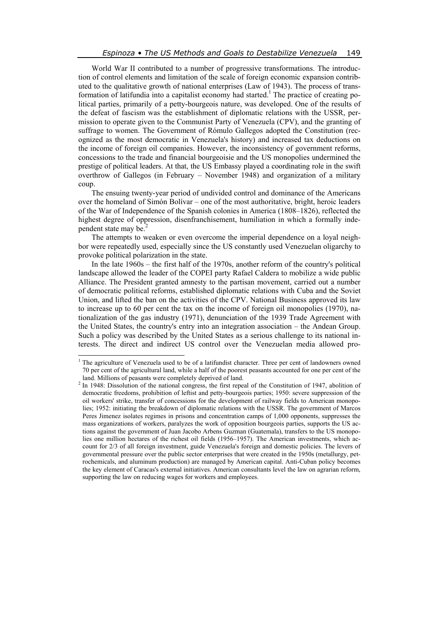World War II contributed to a number of progressive transformations. The introduction of control elements and limitation of the scale of foreign economic expansion contributed to the qualitative growth of national enterprises (Law of 1943). The process of transformation of latifundia into a capitalist economy had started.<sup>1</sup> The practice of creating political parties, primarily of a petty-bourgeois nature, was developed. One of the results of the defeat of fascism was the establishment of diplomatic relations with the USSR, permission to operate given to the Communist Party of Venezuela (CPV), and the granting of suffrage to women. The Government of Rómulo Gallegos adopted the Constitution (recognized as the most democratic in Venezuela's history) and increased tax deductions on the income of foreign oil companies. However, the inconsistency of government reforms, concessions to the trade and financial bourgeoisie and the US monopolies undermined the prestige of political leaders. At that, the US Embassy played a coordinating role in the swift overthrow of Gallegos (in February – November 1948) and organization of a military coup.

The ensuing twenty-year period of undivided control and dominance of the Americans over the homeland of Simón Bolívar – one of the most authoritative, bright, heroic leaders of the War of Independence of the Spanish colonies in America (1808–1826), reflected the highest degree of oppression, disenfranchisement, humiliation in which a formally independent state may be.<sup>2</sup>

The attempts to weaken or even overcome the imperial dependence on a loyal neighbor were repeatedly used, especially since the US constantly used Venezuelan oligarchy to provoke political polarization in the state.

In the late 1960s – the first half of the 1970s, another reform of the country's political landscape allowed the leader of the COPEI party Rafael Caldera to mobilize a wide public Alliance. The President granted amnesty to the partisan movement, carried out a number of democratic political reforms, established diplomatic relations with Cuba and the Soviet Union, and lifted the ban on the activities of the CPV. National Business approved its law to increase up to 60 per cent the tax on the income of foreign oil monopolies (1970), nationalization of the gas industry (1971), denunciation of the 1939 Trade Agreement with the United States, the country's entry into an integration association – the Andean Group. Such a policy was described by the United States as a serious challenge to its national interests. The direct and indirect US control over the Venezuelan media allowed pro-

 $\overline{a}$ 

<sup>&</sup>lt;sup>1</sup> The agriculture of Venezuela used to be of a latifundist character. Three per cent of landowners owned 70 per cent of the agricultural land, while a half of the poorest peasants accounted for one per cent of the land. Millions of peasants were completely deprived of land.

<sup>&</sup>lt;sup>2</sup> In 1948: Dissolution of the national congress, the first repeal of the Constitution of 1947, abolition of democratic freedoms, prohibition of leftist and petty-bourgeois parties; 1950: severe suppression of the oil workers' strike, transfer of concessions for the development of railway fields to American monopolies; 1952: initiating the breakdown of diplomatic relations with the USSR. The government of Marcos Peres Jimenez isolates regimes in prisons and concentration camps of 1,000 opponents, suppresses the mass organizations of workers, paralyzes the work of opposition bourgeois parties, supports the US actions against the government of Juan Jacobo Arbens Guzman (Guatemala), transfers to the US monopolies one million hectares of the richest oil fields (1956–1957). The American investments, which account for 2/3 of all foreign investment, guide Venezuela's foreign and domestic policies. The levers of governmental pressure over the public sector enterprises that were created in the 1950s (metallurgy, petrochemicals, and aluminum production) are managed by American capital. Anti-Cuban policy becomes the key element of Caracas's external initiatives. American consultants level the law on agrarian reform, supporting the law on reducing wages for workers and employees.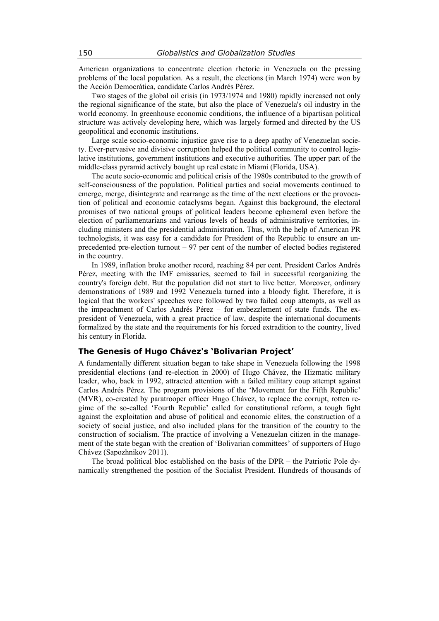American organizations to concentrate election rhetoric in Venezuela on the pressing problems of the local population. As a result, the elections (in March 1974) were won by the Acción Democrática, candidate Carlos Andrés Pérez.

Two stages of the global oil crisis (in 1973/1974 and 1980) rapidly increased not only the regional significance of the state, but also the place of Venezuela's oil industry in the world economy. In greenhouse economic conditions, the influence of a bipartisan political structure was actively developing here, which was largely formed and directed by the US geopolitical and economic institutions.

Large scale socio-economic injustice gave rise to a deep apathy of Venezuelan society. Ever-pervasive and divisive corruption helped the political community to control legislative institutions, government institutions and executive authorities. The upper part of the middle-class pyramid actively bought up real estate in Miami (Florida, USA).

The acute socio-economic and political crisis of the 1980s contributed to the growth of self-consciousness of the population. Political parties and social movements continued to emerge, merge, disintegrate and rearrange as the time of the next elections or the provocation of political and economic cataclysms began. Against this background, the electoral promises of two national groups of political leaders become ephemeral even before the election of parliamentarians and various levels of heads of administrative territories, including ministers and the presidential administration. Thus, with the help of American PR technologists, it was easy for a candidate for President of the Republic to ensure an unprecedented pre-election turnout – 97 per cent of the number of elected bodies registered in the country.

In 1989, inflation broke another record, reaching 84 per cent. President Carlos Andrés Pérez, meeting with the IMF emissaries, seemed to fail in successful reorganizing the country's foreign debt. But the population did not start to live better. Moreover, ordinary demonstrations of 1989 and 1992 Venezuela turned into a bloody fight. Therefore, it is logical that the workers' speeches were followed by two failed coup attempts, as well as the impeachment of Carlos Andrés Pérez – for embezzlement of state funds. The expresident of Venezuela, with a great practice of law, despite the international documents formalized by the state and the requirements for his forced extradition to the country, lived his century in Florida.

## **The Genesis of Hugo Chávez's 'Bolivarian Project'**

A fundamentally different situation began to take shape in Venezuela following the 1998 presidential elections (and re-election in 2000) of Hugo Chávez, the Hizmatic military leader, who, back in 1992, attracted attention with a failed military coup attempt against Carlos Andrés Pérez. The program provisions of the 'Movement for the Fifth Republic' (MVR), co-created by paratrooper officer Hugo Chávez, to replace the corrupt, rotten regime of the so-called 'Fourth Republic' called for constitutional reform, a tough fight against the exploitation and abuse of political and economic elites, the construction of a society of social justice, and also included plans for the transition of the country to the construction of socialism. The practice of involving a Venezuelan citizen in the management of the state began with the creation of 'Bolivarian committees' of supporters of Hugo Chávez (Sapozhnikov 2011).

The broad political bloc established on the basis of the DPR – the Patriotic Pole dynamically strengthened the position of the Socialist President. Hundreds of thousands of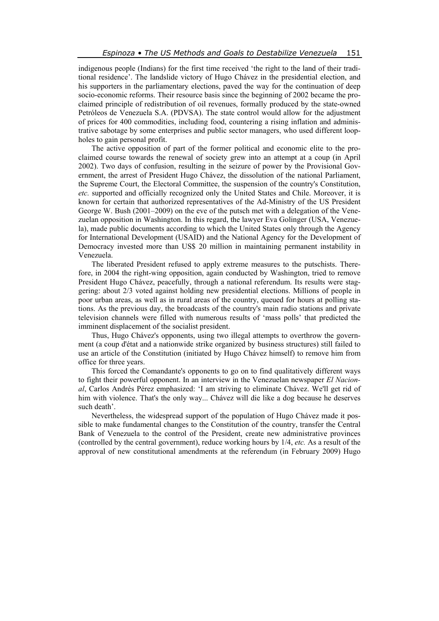indigenous people (Indians) for the first time received 'the right to the land of their traditional residence'. The landslide victory of Hugo Chávez in the presidential election, and his supporters in the parliamentary elections, paved the way for the continuation of deep socio-economic reforms. Their resource basis since the beginning of 2002 became the proclaimed principle of redistribution of oil revenues, formally produced by the state-owned Petróleos de Venezuela S.A. (PDVSA). The state control would allow for the adjustment of prices for 400 commodities, including food, countering a rising inflation and administrative sabotage by some enterprises and public sector managers, who used different loopholes to gain personal profit.

The active opposition of part of the former political and economic elite to the proclaimed course towards the renewal of society grew into an attempt at a coup (in April 2002). Two days of confusion, resulting in the seizure of power by the Provisional Government, the arrest of President Hugo Chávez, the dissolution of the national Parliament, the Supreme Court, the Electoral Committee, the suspension of the country's Constitution, *etc.* supported and officially recognized only the United States and Chile. Moreover, it is known for certain that authorized representatives of the Ad-Ministry of the US President George W. Bush (2001–2009) on the eve of the putsch met with a delegation of the Venezuelan opposition in Washington. In this regard, the lawyer Eva Golinger (USA, Venezuela), made public documents according to which the United States only through the Agency for International Development (USAID) and the National Agency for the Development of Democracy invested more than US\$ 20 million in maintaining permanent instability in Venezuela.

The liberated President refused to apply extreme measures to the putschists. Therefore, in 2004 the right-wing opposition, again conducted by Washington, tried to remove President Hugo Chávez, peacefully, through a national referendum. Its results were staggering: about 2/3 voted against holding new presidential elections. Millions of people in poor urban areas, as well as in rural areas of the country, queued for hours at polling stations. As the previous day, the broadcasts of the country's main radio stations and private television channels were filled with numerous results of 'mass polls' that predicted the imminent displacement of the socialist president.

Thus, Hugo Chávez's opponents, using two illegal attempts to overthrow the government (a coup d'état and a nationwide strike organized by business structures) still failed to use an article of the Constitution (initiated by Hugo Chávez himself) to remove him from office for three years.

This forced the Comandante's opponents to go on to find qualitatively different ways to fight their powerful opponent. In an interview in the Venezuelan newspaper *El Nacional*, Carlos Andrés Pérez emphasized: 'I am striving to eliminate Chávez. We'll get rid of him with violence. That's the only way... Chávez will die like a dog because he deserves such death'.

Nevertheless, the widespread support of the population of Hugo Chávez made it possible to make fundamental changes to the Constitution of the country, transfer the Central Bank of Venezuela to the control of the President, create new administrative provinces (controlled by the central government), reduce working hours by 1/4, *etc.* As a result of the approval of new constitutional amendments at the referendum (in February 2009) Hugo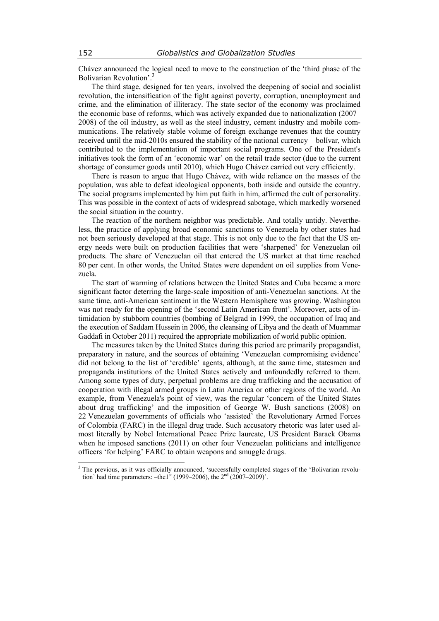Chávez announced the logical need to move to the construction of the 'third phase of the Bolivarian Revolution'.<sup>3</sup>

The third stage, designed for ten years, involved the deepening of social and socialist revolution, the intensification of the fight against poverty, corruption, unemployment and crime, and the elimination of illiteracy. The state sector of the economy was proclaimed the economic base of reforms, which was actively expanded due to nationalization (2007– 2008) of the oil industry, as well as the steel industry, cement industry and mobile communications. The relatively stable volume of foreign exchange revenues that the country received until the mid-2010s ensured the stability of the national currency – bolívar, which contributed to the implementation of important social programs. One of the President's initiatives took the form of an 'economic war' on the retail trade sector (due to the current shortage of consumer goods until 2010), which Hugo Chávez carried out very efficiently.

There is reason to argue that Hugo Chávez, with wide reliance on the masses of the population, was able to defeat ideological opponents, both inside and outside the country. The social programs implemented by him put faith in him, affirmed the cult of personality. This was possible in the context of acts of widespread sabotage, which markedly worsened the social situation in the country.

The reaction of the northern neighbor was predictable. And totally untidy. Nevertheless, the practice of applying broad economic sanctions to Venezuela by other states had not been seriously developed at that stage. This is not only due to the fact that the US energy needs were built on production facilities that were 'sharpened' for Venezuelan oil products. The share of Venezuelan oil that entered the US market at that time reached 80 per cent. In other words, the United States were dependent on oil supplies from Venezuela.

The start of warming of relations between the United States and Cuba became a more significant factor deterring the large-scale imposition of anti-Venezuelan sanctions. At the same time, anti-American sentiment in the Western Hemisphere was growing. Washington was not ready for the opening of the 'second Latin American front'. Moreover, acts of intimidation by stubborn countries (bombing of Belgrad in 1999, the occupation of Iraq and the execution of Saddam Hussein in 2006, the cleansing of Libya and the death of Muammar Gaddafi in October 2011) required the appropriate mobilization of world public opinion.

The measures taken by the United States during this period are primarily propagandist, preparatory in nature, and the sources of obtaining 'Venezuelan compromising evidence' did not belong to the list of 'credible' agents, although, at the same time, statesmen and propaganda institutions of the United States actively and unfoundedly referred to them. Among some types of duty, perpetual problems are drug trafficking and the accusation of cooperation with illegal armed groups in Latin America or other regions of the world. An example, from Venezuela's point of view, was the regular 'concern of the United States about drug trafficking' and the imposition of George W. Bush sanctions (2008) on 22 Venezuelan governments of officials who 'assisted' the Revolutionary Armed Forces of Colombia (FARC) in the illegal drug trade. Such accusatory rhetoric was later used almost literally by Nobel International Peace Prize laureate, US President Barack Obama when he imposed sanctions (2011) on other four Venezuelan politicians and intelligence officers 'for helping' FARC to obtain weapons and smuggle drugs.

<sup>&</sup>lt;sup>3</sup> The previous, as it was officially announced, 'successfully completed stages of the 'Bolivarian revolution' had time parameters:  $-$ the1s<sup>t</sup> (1999–2006), the  $2<sup>nd</sup>$  (2007–2009)'.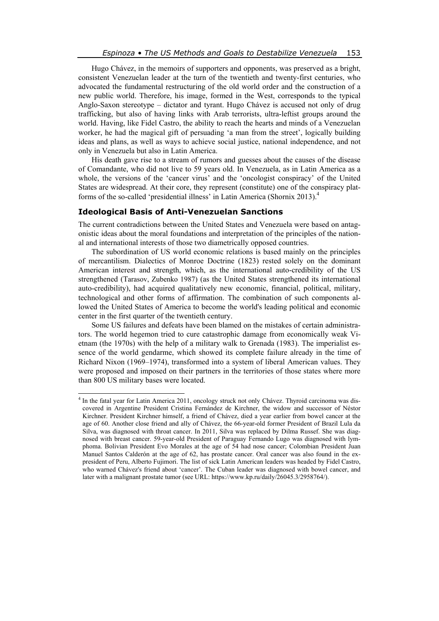Hugo Chávez, in the memoirs of supporters and opponents, was preserved as a bright, consistent Venezuelan leader at the turn of the twentieth and twenty-first centuries, who advocated the fundamental restructuring of the old world order and the construction of a new public world. Therefore, his image, formed in the West, corresponds to the typical Anglo-Saxon stereotype – dictator and tyrant. Hugo Chávez is accused not only of drug trafficking, but also of having links with Arab terrorists, ultra-leftist groups around the world. Having, like Fidel Castro, the ability to reach the hearts and minds of a Venezuelan worker, he had the magical gift of persuading 'a man from the street', logically building ideas and plans, as well as ways to achieve social justice, national independence, and not only in Venezuela but also in Latin America.

His death gave rise to a stream of rumors and guesses about the causes of the disease of Comandante, who did not live to 59 years old. In Venezuela, as in Latin America as a whole, the versions of the 'cancer virus' and the 'oncologist conspiracy' of the United States are widespread. At their core, they represent (constitute) one of the conspiracy platforms of the so-called 'presidential illness' in Latin America (Shornix 2013).4

#### **Ideological Basis of Anti-Venezuelan Sanctions**

The current contradictions between the United States and Venezuela were based on antagonistic ideas about the moral foundations and interpretation of the principles of the national and international interests of those two diametrically opposed countries.

The subordination of US world economic relations is based mainly on the principles of mercantilism. Dialectics of Monroe Doctrine (1823) rested solely on the dominant American interest and strength, which, as the international auto-credibility of the US strengthened (Tarasov, Zubenko 1987) (as the United States strengthened its international auto-credibility), had acquired qualitatively new economic, financial, political, military, technological and other forms of affirmation. The combination of such components allowed the United States of America to become the world's leading political and economic center in the first quarter of the twentieth century.

Some US failures and defeats have been blamed on the mistakes of certain administrators. The world hegemon tried to cure catastrophic damage from economically weak Vietnam (the 1970s) with the help of a military walk to Grenada (1983). The imperialist essence of the world gendarme, which showed its complete failure already in the time of Richard Nixon (1969–1974), transformed into a system of liberal American values. They were proposed and imposed on their partners in the territories of those states where more than 800 US military bases were located.

 4 In the fatal year for Latin America 2011, oncology struck not only Chávez. Thyroid carcinoma was discovered in Argentine President Cristina Fernández de Kirchner, the widow and successor of Néstor Kirchner. President Kirchner himself, a friend of Chávez, died a year earlier from bowel cancer at the age of 60. Another close friend and ally of Chávez, the 66-year-old former President of Brazil Lula da Silva, was diagnosed with throat cancer. In 2011, Silva was replaced by Dilma Russef. She was diagnosed with breast cancer. 59-year-old President of Paraguay Fernando Lugo was diagnosed with lymphoma. Bolivian President Evo Morales at the age of 54 had nose cancer; Colombian President Juan Manuel Santos Calderón at the age of 62, has prostate cancer. Oral cancer was also found in the expresident of Peru, Alberto Fujimori. The list of sick Latin American leaders was headed by Fidel Castro, who warned Chávez's friend about 'cancer'. The Cuban leader was diagnosed with bowel cancer, and later with a malignant prostate tumor (see URL: https://www.kp.ru/daily/26045.3/2958764/).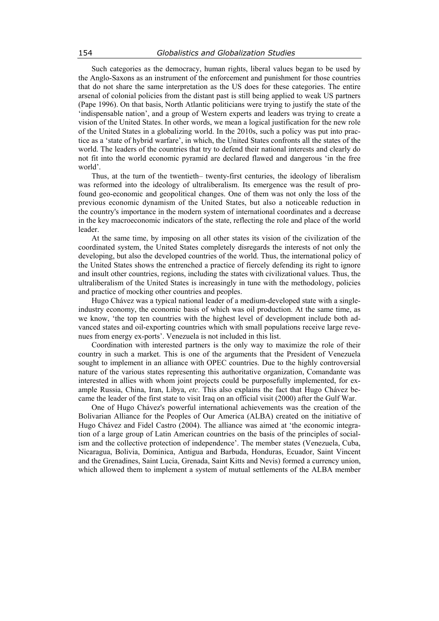Such categories as the democracy, human rights, liberal values began to be used by the Anglo-Saxons as an instrument of the enforcement and punishment for those countries that do not share the same interpretation as the US does for these categories. The entire arsenal of colonial policies from the distant past is still being applied to weak US partners (Pape 1996). On that basis, North Atlantic politicians were trying to justify the state of the 'indispensable nation', and a group of Western experts and leaders was trying to create a vision of the United States. In other words, we mean a logical justification for the new role of the United States in a globalizing world. In the 2010s, such a policy was put into practice as a 'state of hybrid warfare', in which, the United States confronts all the states of the world. The leaders of the countries that try to defend their national interests and clearly do not fit into the world economic pyramid are declared flawed and dangerous 'in the free world'.

Thus, at the turn of the twentieth– twenty-first centuries, the ideology of liberalism was reformed into the ideology of ultraliberalism. Its emergence was the result of profound geo-economic and geopolitical changes. One of them was not only the loss of the previous economic dynamism of the United States, but also a noticeable reduction in the country's importance in the modern system of international coordinates and a decrease in the key macroeconomic indicators of the state, reflecting the role and place of the world leader.

At the same time, by imposing on all other states its vision of the civilization of the coordinated system, the United States completely disregards the interests of not only the developing, but also the developed countries of the world. Thus, the international policy of the United States shows the entrenched a practice of fiercely defending its right to ignore and insult other countries, regions, including the states with civilizational values. Thus, the ultraliberalism of the United States is increasingly in tune with the methodology, policies and practice of mocking other countries and peoples.

Hugo Chávez was a typical national leader of a medium-developed state with a singleindustry economy, the economic basis of which was oil production. At the same time, as we know, 'the top ten countries with the highest level of development include both advanced states and oil-exporting countries which with small populations receive large revenues from energy ex-ports'. Venezuela is not included in this list.

Coordination with interested partners is the only way to maximize the role of their country in such a market. This is one of the arguments that the President of Venezuela sought to implement in an alliance with OPEC countries. Due to the highly controversial nature of the various states representing this authoritative organization, Comandante was interested in allies with whom joint projects could be purposefully implemented, for example Russia, China, Iran, Libya, *etc*. This also explains the fact that Hugo Chávez became the leader of the first state to visit Iraq on an official visit (2000) after the Gulf War.

One of Hugo Chávez's powerful international achievements was the creation of the Bolivarian Alliance for the Peoples of Our America (ALBA) created on the initiative of Hugo Chávez and Fidel Castro (2004). The alliance was aimed at 'the economic integration of a large group of Latin American countries on the basis of the principles of socialism and the collective protection of independence'. The member states (Venezuela, Cuba, Nicaragua, Bolivia, Dominica, Antigua and Barbuda, Honduras, Ecuador, Saint Vincent and the Grenadines, Saint Lucia, Grenada, Saint Kitts and Nevis) formed a currency union, which allowed them to implement a system of mutual settlements of the ALBA member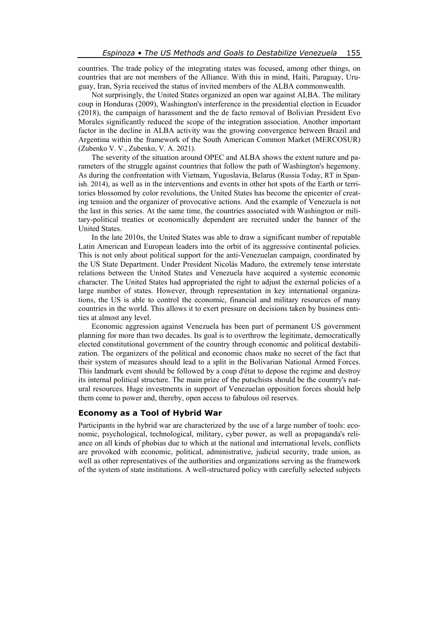countries. The trade policy of the integrating states was focused, among other things, on countries that are not members of the Alliance. With this in mind, Haiti, Paraguay, Uruguay, Iran, Syria received the status of invited members of the ALBA commonwealth.

Not surprisingly, the United States organized an open war against ALBA. The military coup in Honduras (2009), Washington's interference in the presidential election in Ecuador (2018), the campaign of harassment and the de facto removal of Bolivian President Evo Morales significantly reduced the scope of the integration association. Another important factor in the decline in ALBA activity was the growing convergence between Brazil and Argentina within the framework of the South American Common Market (MERCOSUR) (Zubenko V. V., Zubenko, V. A. 2021).

The severity of the situation around OPEC and ALBA shows the extent nature and parameters of the struggle against countries that follow the path of Washington's hegemony. As during the confrontation with Vietnam, Yugoslavia, Belarus (Russia Today, RT in Spanish. 2014), as well as in the interventions and events in other hot spots of the Earth or territories blossomed by color revolutions, the United States has become the epicenter of creating tension and the organizer of provocative actions. And the example of Venezuela is not the last in this series. At the same time, the countries associated with Washington or military-political treaties or economically dependent are recruited under the banner of the United States.

In the late 2010s, the United States was able to draw a significant number of reputable Latin American and European leaders into the orbit of its aggressive continental policies. This is not only about political support for the anti-Venezuelan campaign, coordinated by the US State Department. Under President Nicolás Maduro, the extremely tense interstate relations between the United States and Venezuela have acquired a systemic economic character. The United States had appropriated the right to adjust the external policies of a large number of states. However, through representation in key international organizations, the US is able to control the economic, financial and military resources of many countries in the world. This allows it to exert pressure on decisions taken by business entities at almost any level.

Economic aggression against Venezuela has been part of permanent US government planning for more than two decades. Its goal is to overthrow the legitimate, democratically elected constitutional government of the country through economic and political destabilization. The organizers of the political and economic chaos make no secret of the fact that their system of measures should lead to a split in the Bolivarian National Armed Forces. This landmark event should be followed by a coup d'état to depose the regime and destroy its internal political structure. The main prize of the putschists should be the country's natural resources. Huge investments in support of Venezuelan opposition forces should help them come to power and, thereby, open access to fabulous oil reserves.

#### **Economy as a Tool of Hybrid War**

Participants in the hybrid war are characterized by the use of a large number of tools: economic, psychological, technological, military, cyber power, as well as propaganda's reliance on all kinds of phobias due to which at the national and international levels, conflicts are provoked with economic, political, administrative, judicial security, trade union, as well as other representatives of the authorities and organizations serving as the framework of the system of state institutions. A well-structured policy with carefully selected subjects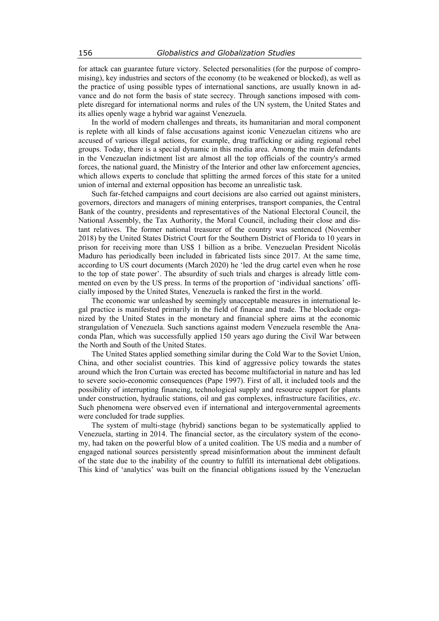for attack can guarantee future victory. Selected personalities (for the purpose of compromising), key industries and sectors of the economy (to be weakened or blocked), as well as the practice of using possible types of international sanctions, are usually known in advance and do not form the basis of state secrecy. Through sanctions imposed with complete disregard for international norms and rules of the UN system, the United States and its allies openly wage a hybrid war against Venezuela.

In the world of modern challenges and threats, its humanitarian and moral component is replete with all kinds of false accusations against iconic Venezuelan citizens who are accused of various illegal actions, for example, drug trafficking or aiding regional rebel groups. Today, there is a special dynamic in this media area. Among the main defendants in the Venezuelan indictment list are almost all the top officials of the country's armed forces, the national guard, the Ministry of the Interior and other law enforcement agencies, which allows experts to conclude that splitting the armed forces of this state for a united union of internal and external opposition has become an unrealistic task.

Such far-fetched campaigns and court decisions are also carried out against ministers, governors, directors and managers of mining enterprises, transport companies, the Central Bank of the country, presidents and representatives of the National Electoral Council, the National Assembly, the Tax Authority, the Moral Council, including their close and distant relatives. The former national treasurer of the country was sentenced (November 2018) by the United States District Court for the Southern District of Florida to 10 years in prison for receiving more than US\$ 1 billion as a bribe. Venezuelan President Nicolás Maduro has periodically been included in fabricated lists since 2017. At the same time, according to US court documents (March 2020) he 'led the drug cartel even when he rose to the top of state power'. The absurdity of such trials and charges is already little commented on even by the US press. In terms of the proportion of 'individual sanctions' officially imposed by the United States, Venezuela is ranked the first in the world.

The economic war unleashed by seemingly unacceptable measures in international legal practice is manifested primarily in the field of finance and trade. The blockade organized by the United States in the monetary and financial sphere aims at the economic strangulation of Venezuela. Such sanctions against modern Venezuela resemble the Anaconda Plan, which was successfully applied 150 years ago during the Civil War between the North and South of the United States.

The United States applied something similar during the Cold War to the Soviet Union, China, and other socialist countries. This kind of aggressive policy towards the states around which the Iron Curtain was erected has become multifactorial in nature and has led to severe socio-economic consequences (Pape 1997). First of all, it included tools and the possibility of interrupting financing, technological supply and resource support for plants under construction, hydraulic stations, oil and gas complexes, infrastructure facilities, *etc*. Such phenomena were observed even if international and intergovernmental agreements were concluded for trade supplies.

The system of multi-stage (hybrid) sanctions began to be systematically applied to Venezuela, starting in 2014. The financial sector, as the circulatory system of the economy, had taken on the powerful blow of a united coalition. The US media and a number of engaged national sources persistently spread misinformation about the imminent default of the state due to the inability of the country to fulfill its international debt obligations. This kind of 'analytics' was built on the financial obligations issued by the Venezuelan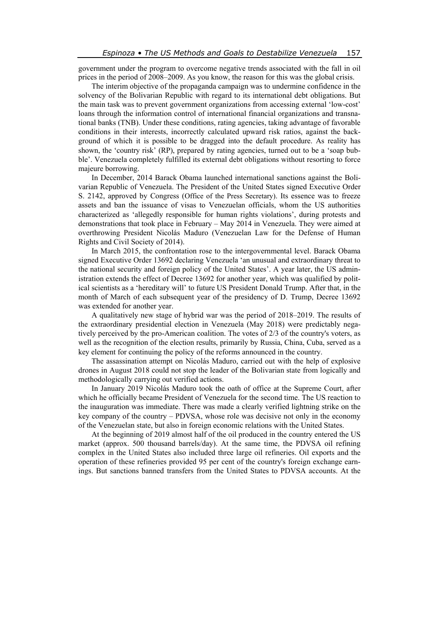government under the program to overcome negative trends associated with the fall in oil prices in the period of 2008–2009. As you know, the reason for this was the global crisis.

The interim objective of the propaganda campaign was to undermine confidence in the solvency of the Bolivarian Republic with regard to its international debt obligations. But the main task was to prevent government organizations from accessing external 'low-cost' loans through the information control of international financial organizations and transnational banks (TNB). Under these conditions, rating agencies, taking advantage of favorable conditions in their interests, incorrectly calculated upward risk ratios, against the background of which it is possible to be dragged into the default procedure. As reality has shown, the 'country risk' (RP), prepared by rating agencies, turned out to be a 'soap bubble'. Venezuela completely fulfilled its external debt obligations without resorting to force majeure borrowing.

In December, 2014 Barack Obama launched international sanctions against the Bolivarian Republic of Venezuela. The President of the United States signed Executive Order S. 2142, approved by Congress (Office of the Press Secretary). Its essence was to freeze assets and ban the issuance of visas to Venezuelan officials, whom the US authorities characterized as 'allegedly responsible for human rights violations', during protests and demonstrations that took place in February – May 2014 in Venezuela. They were aimed at overthrowing President Nicolás Maduro (Venezuelan Law for the Defense of Human Rights and Civil Society of 2014).

In March 2015, the confrontation rose to the intergovernmental level. Barack Obama signed Executive Order 13692 declaring Venezuela 'an unusual and extraordinary threat to the national security and foreign policy of the United States'. A year later, the US administration extends the effect of Decree 13692 for another year, which was qualified by political scientists as a 'hereditary will' to future US President Donald Trump. After that, in the month of March of each subsequent year of the presidency of D. Trump, Decree 13692 was extended for another year.

A qualitatively new stage of hybrid war was the period of 2018–2019. The results of the extraordinary presidential election in Venezuela (May 2018) were predictably negatively perceived by the pro-American coalition. The votes of 2/3 of the country's voters, as well as the recognition of the election results, primarily by Russia, China, Cuba, served as a key element for continuing the policy of the reforms announced in the country.

The assassination attempt on Nicolás Maduro, carried out with the help of explosive drones in August 2018 could not stop the leader of the Bolivarian state from logically and methodologically carrying out verified actions.

In January 2019 Nicolás Maduro took the oath of office at the Supreme Court, after which he officially became President of Venezuela for the second time. The US reaction to the inauguration was immediate. There was made a clearly verified lightning strike on the key company of the country – PDVSA, whose role was decisive not only in the economy of the Venezuelan state, but also in foreign economic relations with the United States.

At the beginning of 2019 almost half of the oil produced in the country entered the US market (approx. 500 thousand barrels/day). At the same time, the PDVSA oil refining complex in the United States also included three large oil refineries. Oil exports and the operation of these refineries provided 95 per cent of the country's foreign exchange earnings. But sanctions banned transfers from the United States to PDVSA accounts. At the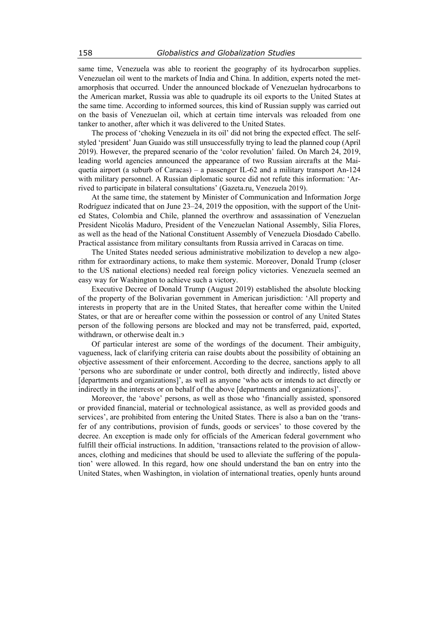same time, Venezuela was able to reorient the geography of its hydrocarbon supplies. Venezuelan oil went to the markets of India and China. In addition, experts noted the metamorphosis that occurred. Under the announced blockade of Venezuelan hydrocarbons to the American market, Russia was able to quadruple its oil exports to the United States at the same time. According to informed sources, this kind of Russian supply was carried out on the basis of Venezuelan oil, which at certain time intervals was reloaded from one tanker to another, after which it was delivered to the United States.

The process of 'choking Venezuela in its oil' did not bring the expected effect. The selfstyled 'president' Juan Guaido was still unsuccessfully trying to lead the planned coup (April 2019). However, the prepared scenario of the 'color revolution' failed. On March 24, 2019, leading world agencies announced the appearance of two Russian aircrafts at the Maiquetía airport (a suburb of Caracas) – a passenger IL-62 and a military transport An-124 with military personnel. A Russian diplomatic source did not refute this information: 'Arrived to participate in bilateral consultations' (Gazeta.ru, Venezuela 2019).

At the same time, the statement by Minister of Communication and Information Jorge Rodríguez indicated that on June 23–24, 2019 the opposition, with the support of the United States, Colombia and Chile, planned the overthrow and assassination of Venezuelan President Nicolás Maduro, President of the Venezuelan National Assembly, Silia Flores, as well as the head of the National Constituent Assembly of Venezuela Diosdado Cabello. Practical assistance from military consultants from Russia arrived in Caracas on time.

The United States needed serious administrative mobilization to develop a new algorithm for extraordinary actions, to make them systemic. Moreover, Donald Trump (closer to the US national elections) needed real foreign policy victories. Venezuela seemed an easy way for Washington to achieve such a victory.

Executive Decree of Donald Trump (August 2019) established the absolute blocking of the property of the Bolivarian government in American jurisdiction: 'All property and interests in property that are in the United States, that hereafter come within the United States, or that are or hereafter come within the possession or control of any United States person of the following persons are blocked and may not be transferred, paid, exported, withdrawn, or otherwise dealt in.

Of particular interest are some of the wordings of the document. Their ambiguity, vagueness, lack of clarifying criteria can raise doubts about the possibility of obtaining an objective assessment of their enforcement. According to the decree, sanctions apply to all 'persons who are subordinate or under control, both directly and indirectly, listed above [departments and organizations]', as well as anyone 'who acts or intends to act directly or indirectly in the interests or on behalf of the above [departments and organizations]'.

Moreover, the 'above' persons, as well as those who 'financially assisted, sponsored or provided financial, material or technological assistance, as well as provided goods and services', are prohibited from entering the United States. There is also a ban on the 'transfer of any contributions, provision of funds, goods or services' to those covered by the decree. An exception is made only for officials of the American federal government who fulfill their official instructions. In addition, 'transactions related to the provision of allowances, clothing and medicines that should be used to alleviate the suffering of the population' were allowed. In this regard, how one should understand the ban on entry into the United States, when Washington, in violation of international treaties, openly hunts around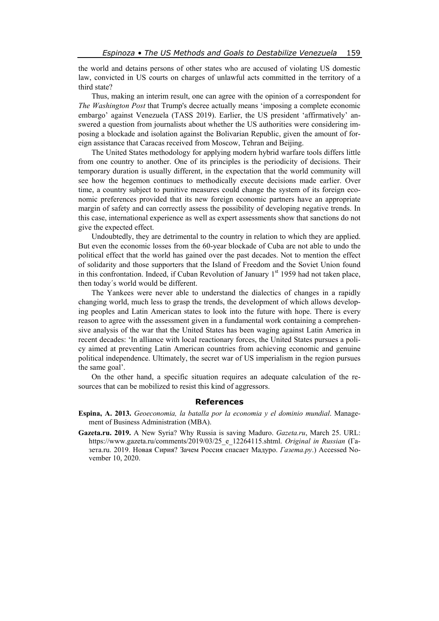the world and detains persons of other states who are accused of violating US domestic law, convicted in US courts on charges of unlawful acts committed in the territory of a third state?

Thus, making an interim result, one can agree with the opinion of a correspondent for *The Washington Post* that Trump's decree actually means 'imposing a complete economic embargo' against Venezuela (TASS 2019). Earlier, the US president 'affirmatively' answered a question from journalists about whether the US authorities were considering imposing a blockade and isolation against the Bolivarian Republic, given the amount of foreign assistance that Caracas received from Moscow, Tehran and Beijing.

The United States methodology for applying modern hybrid warfare tools differs little from one country to another. One of its principles is the periodicity of decisions. Their temporary duration is usually different, in the expectation that the world community will see how the hegemon continues to methodically execute decisions made earlier. Over time, a country subject to punitive measures could change the system of its foreign economic preferences provided that its new foreign economic partners have an appropriate margin of safety and can correctly assess the possibility of developing negative trends. In this case, international experience as well as expert assessments show that sanctions do not give the expected effect.

Undoubtedly, they are detrimental to the country in relation to which they are applied. But even the economic losses from the 60-year blockade of Cuba are not able to undo the political effect that the world has gained over the past decades. Not to mention the effect of solidarity and those supporters that the Island of Freedom and the Soviet Union found in this confrontation. Indeed, if Cuban Revolution of January  $1<sup>st</sup>$  1959 had not taken place, then today´s world would be different.

The Yankees were never able to understand the dialectics of changes in a rapidly changing world, much less to grasp the trends, the development of which allows developing peoples and Latin American states to look into the future with hope. There is every reason to agree with the assessment given in a fundamental work containing a comprehensive analysis of the war that the United States has been waging against Latin America in recent decades: 'In alliance with local reactionary forces, the United States pursues a policy aimed at preventing Latin American countries from achieving economic and genuine political independence. Ultimately, the secret war of US imperialism in the region pursues the same goal'.

On the other hand, a specific situation requires an adequate calculation of the resources that can be mobilized to resist this kind of aggressors.

### **References**

- **Espina, A. 2013.** *Geoeconomia, la batalla por la economia y el dominio mundial*. Management of Business Administration (MBA).
- **Gazeta.ru. 2019.** A New Syria? Why Russia is saving Maduro. *Gazeta.ru*, March 25. URL: https://www.gazeta.ru/comments/2019/03/25\_e\_12264115.shtml. *Original in Russian* (Газета.ru. 2019. Новая Сирия? Зачем Россия спасает Мадуро. *Газета.ру*.) Accessed November 10, 2020.